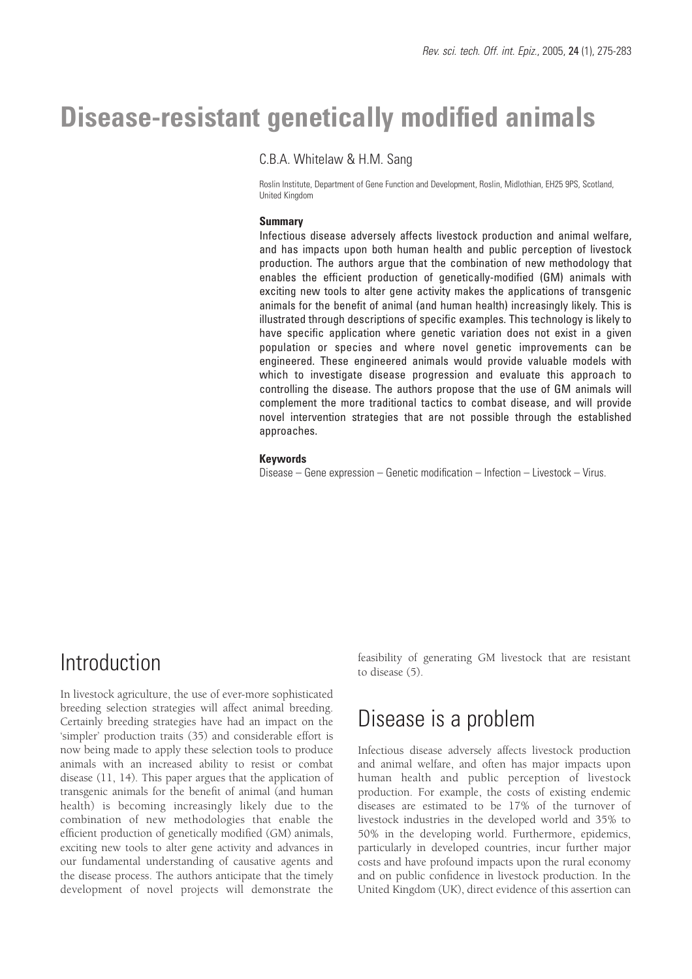# **Disease-resistant genetically modified animals**

## C.B.A. Whitelaw & H.M. Sang

Roslin Institute, Department of Gene Function and Development, Roslin, Midlothian, EH25 9PS, Scotland, United Kingdom

#### **Summary**

Infectious disease adversely affects livestock production and animal welfare, and has impacts upon both human health and public perception of livestock production. The authors argue that the combination of new methodology that enables the efficient production of genetically-modified (GM) animals with exciting new tools to alter gene activity makes the applications of transgenic animals for the benefit of animal (and human health) increasingly likely. This is illustrated through descriptions of specific examples. This technology is likely to have specific application where genetic variation does not exist in a given population or species and where novel genetic improvements can be engineered. These engineered animals would provide valuable models with which to investigate disease progression and evaluate this approach to controlling the disease. The authors propose that the use of GM animals will complement the more traditional tactics to combat disease, and will provide novel intervention strategies that are not possible through the established approaches.

#### **Keywords**

Disease – Gene expression – Genetic modification – Infection – Livestock – Virus.

## Introduction

In livestock agriculture, the use of ever-more sophisticated breeding selection strategies will affect animal breeding. Certainly breeding strategies have had an impact on the 'simpler' production traits (35) and considerable effort is now being made to apply these selection tools to produce animals with an increased ability to resist or combat disease (11, 14). This paper argues that the application of transgenic animals for the benefit of animal (and human health) is becoming increasingly likely due to the combination of new methodologies that enable the efficient production of genetically modified (GM) animals, exciting new tools to alter gene activity and advances in our fundamental understanding of causative agents and the disease process. The authors anticipate that the timely development of novel projects will demonstrate the feasibility of generating GM livestock that are resistant to disease (5).

# Disease is a problem

Infectious disease adversely affects livestock production and animal welfare, and often has major impacts upon human health and public perception of livestock production. For example, the costs of existing endemic diseases are estimated to be 17% of the turnover of livestock industries in the developed world and 35% to 50% in the developing world. Furthermore, epidemics, particularly in developed countries, incur further major costs and have profound impacts upon the rural economy and on public confidence in livestock production. In the United Kingdom (UK), direct evidence of this assertion can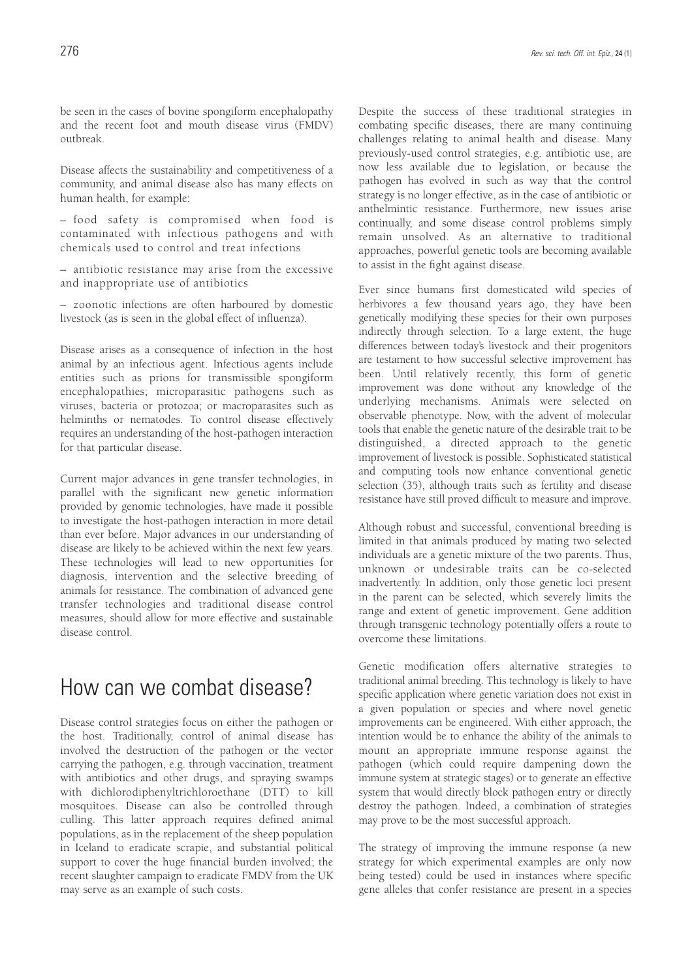be seen in the cases of bovine spongiform encephalopathy and the recent foot and mouth disease virus (FMDV) outbreak.

Disease affects the sustainability and competitiveness of a community, and animal disease also has many effects on human health, for example:

– food safety is compromised when food is contaminated with infectious pathogens and with chemicals used to control and treat infections

– antibiotic resistance may arise from the excessive and inappropriate use of antibiotics

– zoonotic infections are often harboured by domestic livestock (as is seen in the global effect of influenza).

Disease arises as a consequence of infection in the host animal by an infectious agent. Infectious agents include entities such as prions for transmissible spongiform encephalopathies; microparasitic pathogens such as viruses, bacteria or protozoa; or macroparasites such as helminths or nematodes. To control disease effectively requires an understanding of the host-pathogen interaction for that particular disease.

Current major advances in gene transfer technologies, in parallel with the significant new genetic information provided by genomic technologies, have made it possible to investigate the host-pathogen interaction in more detail than ever before. Major advances in our understanding of disease are likely to be achieved within the next few years. These technologies will lead to new opportunities for diagnosis, intervention and the selective breeding of animals for resistance. The combination of advanced gene transfer technologies and traditional disease control measures, should allow for more effective and sustainable disease control.

## How can we combat disease?

Disease control strategies focus on either the pathogen or the host. Traditionally, control of animal disease has involved the destruction of the pathogen or the vector carrying the pathogen, e.g. through vaccination, treatment with antibiotics and other drugs, and spraying swamps with dichlorodiphenyltrichloroethane (DTT) to kill mosquitoes. Disease can also be controlled through culling. This latter approach requires defined animal populations, as in the replacement of the sheep population in Iceland to eradicate scrapie, and substantial political support to cover the huge financial burden involved; the recent slaughter campaign to eradicate FMDV from the UK may serve as an example of such costs.

Despite the success of these traditional strategies in combating specific diseases, there are many continuing challenges relating to animal health and disease. Many previously-used control strategies, e.g. antibiotic use, are now less available due to legislation, or because the pathogen has evolved in such as way that the control strategy is no longer effective, as in the case of antibiotic or anthelmintic resistance. Furthermore, new issues arise continually, and some disease control problems simply remain unsolved. As an alternative to traditional approaches, powerful genetic tools are becoming available to assist in the fight against disease.

Ever since humans first domesticated wild species of herbivores a few thousand years ago, they have been genetically modifying these species for their own purposes indirectly through selection. To a large extent, the huge differences between today's livestock and their progenitors are testament to how successful selective improvement has been. Until relatively recently, this form of genetic improvement was done without any knowledge of the underlying mechanisms. Animals were selected on observable phenotype. Now, with the advent of molecular tools that enable the genetic nature of the desirable trait to be distinguished, a directed approach to the genetic improvement of livestock is possible. Sophisticated statistical and computing tools now enhance conventional genetic selection (35), although traits such as fertility and disease resistance have still proved difficult to measure and improve.

Although robust and successful, conventional breeding is limited in that animals produced by mating two selected individuals are a genetic mixture of the two parents. Thus, unknown or undesirable traits can be co-selected inadvertently. In addition, only those genetic loci present in the parent can be selected, which severely limits the range and extent of genetic improvement. Gene addition through transgenic technology potentially offers a route to overcome these limitations.

Genetic modification offers alternative strategies to traditional animal breeding. This technology is likely to have specific application where genetic variation does not exist in a given population or species and where novel genetic improvements can be engineered. With either approach, the intention would be to enhance the ability of the animals to mount an appropriate immune response against the pathogen (which could require dampening down the immune system at strategic stages) or to generate an effective system that would directly block pathogen entry or directly destroy the pathogen. Indeed, a combination of strategies may prove to be the most successful approach.

The strategy of improving the immune response (a new strategy for which experimental examples are only now being tested) could be used in instances where specific gene alleles that confer resistance are present in a species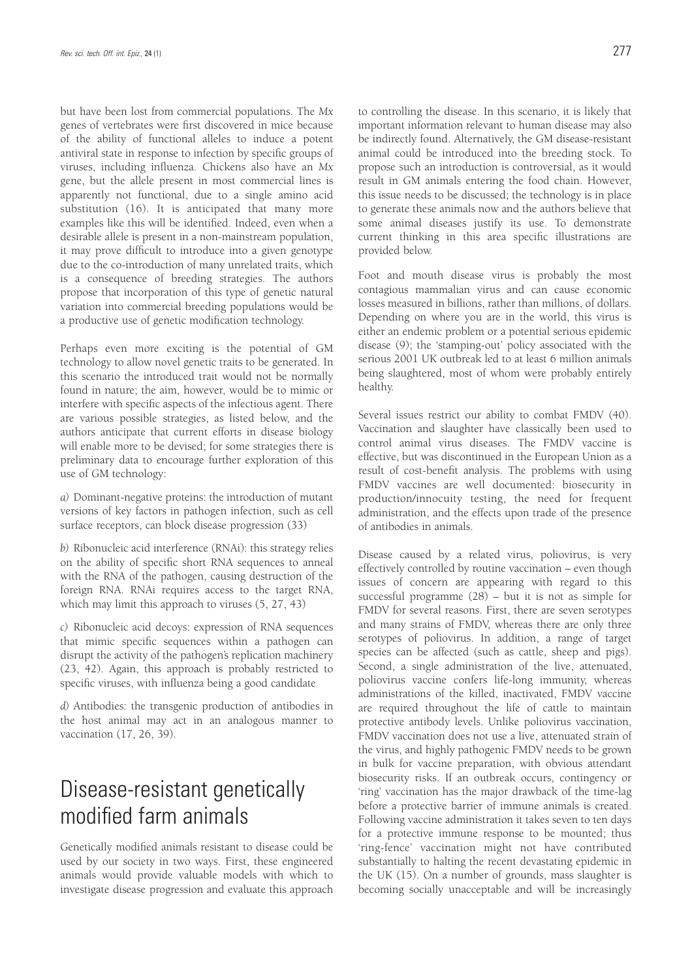but have been lost from commercial populations. The *Mx* genes of vertebrates were first discovered in mice because of the ability of functional alleles to induce a potent antiviral state in response to infection by specific groups of viruses, including influenza. Chickens also have an *Mx* gene, but the allele present in most commercial lines is apparently not functional, due to a single amino acid substitution (16). It is anticipated that many more examples like this will be identified. Indeed, even when a desirable allele is present in a non-mainstream population, it may prove difficult to introduce into a given genotype due to the co-introduction of many unrelated traits, which is a consequence of breeding strategies. The authors propose that incorporation of this type of genetic natural variation into commercial breeding populations would be a productive use of genetic modification technology.

Perhaps even more exciting is the potential of GM technology to allow novel genetic traits to be generated. In this scenario the introduced trait would not be normally found in nature; the aim, however, would be to mimic or interfere with specific aspects of the infectious agent. There are various possible strategies, as listed below, and the authors anticipate that current efforts in disease biology will enable more to be devised; for some strategies there is preliminary data to encourage further exploration of this use of GM technology:

*a)* Dominant-negative proteins: the introduction of mutant versions of key factors in pathogen infection, such as cell surface receptors, can block disease progression (33)

*b)* Ribonucleic acid interference (RNAi): this strategy relies on the ability of specific short RNA sequences to anneal with the RNA of the pathogen, causing destruction of the foreign RNA. RNAi requires access to the target RNA, which may limit this approach to viruses (5, 27, 43)

*c)* Ribonucleic acid decoys: expression of RNA sequences that mimic specific sequences within a pathogen can disrupt the activity of the pathogen's replication machinery (23, 42). Again, this approach is probably restricted to specific viruses, with influenza being a good candidate

*d)* Antibodies: the transgenic production of antibodies in the host animal may act in an analogous manner to vaccination (17, 26, 39).

# Disease-resistant genetically modified farm animals

Genetically modified animals resistant to disease could be used by our society in two ways. First, these engineered animals would provide valuable models with which to investigate disease progression and evaluate this approach to controlling the disease. In this scenario, it is likely that important information relevant to human disease may also be indirectly found. Alternatively, the GM disease-resistant animal could be introduced into the breeding stock. To propose such an introduction is controversial, as it would result in GM animals entering the food chain. However, this issue needs to be discussed; the technology is in place to generate these animals now and the authors believe that some animal diseases justify its use. To demonstrate current thinking in this area specific illustrations are provided below.

Foot and mouth disease virus is probably the most contagious mammalian virus and can cause economic losses measured in billions, rather than millions, of dollars. Depending on where you are in the world, this virus is either an endemic problem or a potential serious epidemic disease (9); the 'stamping-out' policy associated with the serious 2001 UK outbreak led to at least 6 million animals being slaughtered, most of whom were probably entirely healthy.

Several issues restrict our ability to combat FMDV (40). Vaccination and slaughter have classically been used to control animal virus diseases. The FMDV vaccine is effective, but was discontinued in the European Union as a result of cost-benefit analysis. The problems with using FMDV vaccines are well documented: biosecurity in production/innocuity testing, the need for frequent administration, and the effects upon trade of the presence of antibodies in animals.

Disease caused by a related virus, poliovirus, is very effectively controlled by routine vaccination – even though issues of concern are appearing with regard to this successful programme (28) – but it is not as simple for FMDV for several reasons. First, there are seven serotypes and many strains of FMDV, whereas there are only three serotypes of poliovirus. In addition, a range of target species can be affected (such as cattle, sheep and pigs). Second, a single administration of the live, attenuated, poliovirus vaccine confers life-long immunity, whereas administrations of the killed, inactivated, FMDV vaccine are required throughout the life of cattle to maintain protective antibody levels. Unlike poliovirus vaccination, FMDV vaccination does not use a live, attenuated strain of the virus, and highly pathogenic FMDV needs to be grown in bulk for vaccine preparation, with obvious attendant biosecurity risks. If an outbreak occurs, contingency or 'ring' vaccination has the major drawback of the time-lag before a protective barrier of immune animals is created. Following vaccine administration it takes seven to ten days for a protective immune response to be mounted; thus 'ring-fence' vaccination might not have contributed substantially to halting the recent devastating epidemic in the UK (15). On a number of grounds, mass slaughter is becoming socially unacceptable and will be increasingly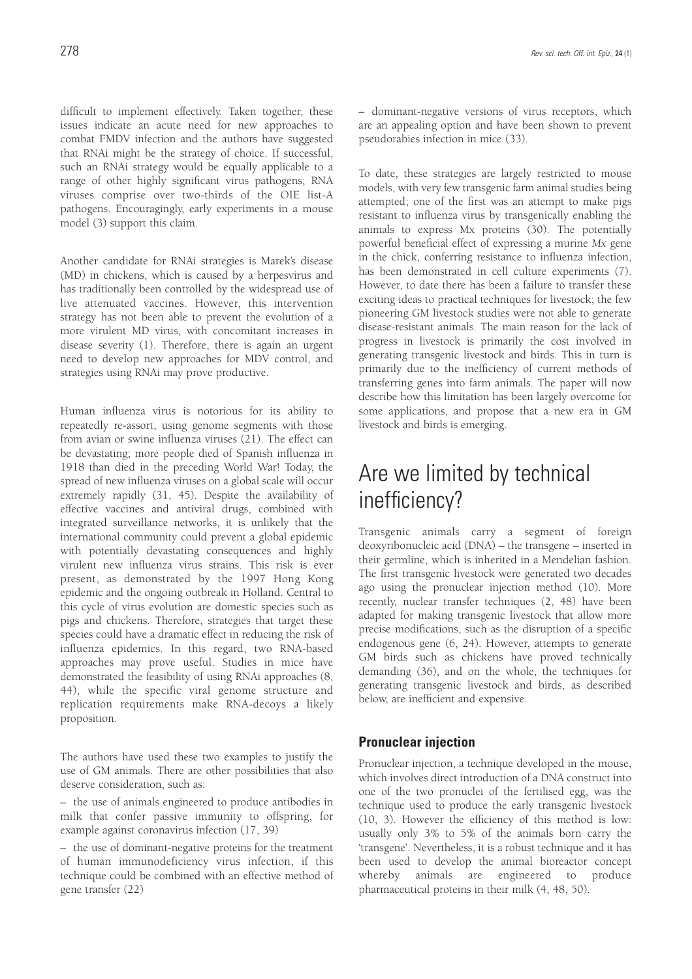difficult to implement effectively. Taken together, these issues indicate an acute need for new approaches to combat FMDV infection and the authors have suggested that RNAi might be the strategy of choice. If successful, such an RNAi strategy would be equally applicable to a range of other highly significant virus pathogens; RNA viruses comprise over two-thirds of the OIE list-A pathogens. Encouragingly, early experiments in a mouse model (3) support this claim.

Another candidate for RNAi strategies is Marek's disease (MD) in chickens, which is caused by a herpesvirus and has traditionally been controlled by the widespread use of live attenuated vaccines. However, this intervention strategy has not been able to prevent the evolution of a more virulent MD virus, with concomitant increases in disease severity (1). Therefore, there is again an urgent need to develop new approaches for MDV control, and strategies using RNAi may prove productive.

Human influenza virus is notorious for its ability to repeatedly re-assort, using genome segments with those from avian or swine influenza viruses (21). The effect can be devastating; more people died of Spanish influenza in 1918 than died in the preceding World War! Today, the spread of new influenza viruses on a global scale will occur extremely rapidly (31, 45). Despite the availability of effective vaccines and antiviral drugs, combined with integrated surveillance networks, it is unlikely that the international community could prevent a global epidemic with potentially devastating consequences and highly virulent new influenza virus strains. This risk is ever present, as demonstrated by the 1997 Hong Kong epidemic and the ongoing outbreak in Holland. Central to this cycle of virus evolution are domestic species such as pigs and chickens. Therefore, strategies that target these species could have a dramatic effect in reducing the risk of influenza epidemics. In this regard, two RNA-based approaches may prove useful. Studies in mice have demonstrated the feasibility of using RNAi approaches (8, 44), while the specific viral genome structure and replication requirements make RNA-decoys a likely proposition.

The authors have used these two examples to justify the use of GM animals. There are other possibilities that also deserve consideration, such as:

– the use of animals engineered to produce antibodies in milk that confer passive immunity to offspring, for example against coronavirus infection (17, 39)

– the use of dominant-negative proteins for the treatment of human immunodeficiency virus infection, if this technique could be combined with an effective method of gene transfer (22)

– dominant-negative versions of virus receptors, which are an appealing option and have been shown to prevent pseudorabies infection in mice (33).

To date, these strategies are largely restricted to mouse models, with very few transgenic farm animal studies being attempted; one of the first was an attempt to make pigs resistant to influenza virus by transgenically enabling the animals to express Mx proteins (30). The potentially powerful beneficial effect of expressing a murine *Mx* gene in the chick, conferring resistance to influenza infection, has been demonstrated in cell culture experiments (7). However, to date there has been a failure to transfer these exciting ideas to practical techniques for livestock; the few pioneering GM livestock studies were not able to generate disease-resistant animals. The main reason for the lack of progress in livestock is primarily the cost involved in generating transgenic livestock and birds. This in turn is primarily due to the inefficiency of current methods of transferring genes into farm animals. The paper will now describe how this limitation has been largely overcome for some applications, and propose that a new era in GM livestock and birds is emerging.

# Are we limited by technical inefficiency?

Transgenic animals carry a segment of foreign deoxyribonucleic acid (DNA) – the transgene – inserted in their germline, which is inherited in a Mendelian fashion. The first transgenic livestock were generated two decades ago using the pronuclear injection method (10). More recently, nuclear transfer techniques (2, 48) have been adapted for making transgenic livestock that allow more precise modifications, such as the disruption of a specific endogenous gene (6, 24). However, attempts to generate GM birds such as chickens have proved technically demanding (36), and on the whole, the techniques for generating transgenic livestock and birds, as described below, are inefficient and expensive.

### **Pronuclear injection**

Pronuclear injection, a technique developed in the mouse, which involves direct introduction of a DNA construct into one of the two pronuclei of the fertilised egg, was the technique used to produce the early transgenic livestock (10, 3). However the efficiency of this method is low: usually only 3% to 5% of the animals born carry the 'transgene'. Nevertheless, it is a robust technique and it has been used to develop the animal bioreactor concept whereby animals are engineered to produce pharmaceutical proteins in their milk (4, 48, 50).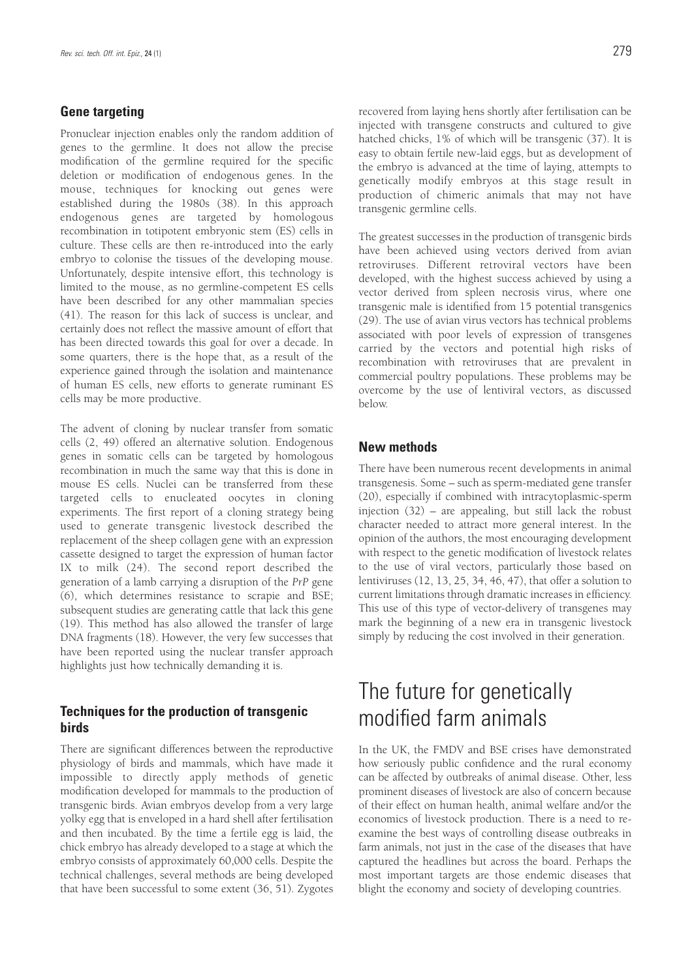## **Gene targeting**

Pronuclear injection enables only the random addition of genes to the germline. It does not allow the precise modification of the germline required for the specific deletion or modification of endogenous genes. In the mouse, techniques for knocking out genes were established during the 1980s (38). In this approach endogenous genes are targeted by homologous recombination in totipotent embryonic stem (ES) cells in culture. These cells are then re-introduced into the early embryo to colonise the tissues of the developing mouse. Unfortunately, despite intensive effort, this technology is limited to the mouse, as no germline-competent ES cells have been described for any other mammalian species (41). The reason for this lack of success is unclear, and certainly does not reflect the massive amount of effort that has been directed towards this goal for over a decade. In some quarters, there is the hope that, as a result of the experience gained through the isolation and maintenance of human ES cells, new efforts to generate ruminant ES cells may be more productive.

The advent of cloning by nuclear transfer from somatic cells (2, 49) offered an alternative solution. Endogenous genes in somatic cells can be targeted by homologous recombination in much the same way that this is done in mouse ES cells. Nuclei can be transferred from these targeted cells to enucleated oocytes in cloning experiments. The first report of a cloning strategy being used to generate transgenic livestock described the replacement of the sheep collagen gene with an expression cassette designed to target the expression of human factor IX to milk (24). The second report described the generation of a lamb carrying a disruption of the *PrP* gene (6), which determines resistance to scrapie and BSE; subsequent studies are generating cattle that lack this gene (19). This method has also allowed the transfer of large DNA fragments (18). However, the very few successes that have been reported using the nuclear transfer approach highlights just how technically demanding it is.

## **Techniques for the production of transgenic birds**

There are significant differences between the reproductive physiology of birds and mammals, which have made it impossible to directly apply methods of genetic modification developed for mammals to the production of transgenic birds. Avian embryos develop from a very large yolky egg that is enveloped in a hard shell after fertilisation and then incubated. By the time a fertile egg is laid, the chick embryo has already developed to a stage at which the embryo consists of approximately 60,000 cells. Despite the technical challenges, several methods are being developed that have been successful to some extent (36, 51). Zygotes recovered from laying hens shortly after fertilisation can be injected with transgene constructs and cultured to give hatched chicks, 1% of which will be transgenic (37). It is easy to obtain fertile new-laid eggs, but as development of the embryo is advanced at the time of laying, attempts to genetically modify embryos at this stage result in production of chimeric animals that may not have transgenic germline cells.

The greatest successes in the production of transgenic birds have been achieved using vectors derived from avian retroviruses. Different retroviral vectors have been developed, with the highest success achieved by using a vector derived from spleen necrosis virus, where one transgenic male is identified from 15 potential transgenics (29). The use of avian virus vectors has technical problems associated with poor levels of expression of transgenes carried by the vectors and potential high risks of recombination with retroviruses that are prevalent in commercial poultry populations. These problems may be overcome by the use of lentiviral vectors, as discussed below.

## **New methods**

There have been numerous recent developments in animal transgenesis. Some – such as sperm-mediated gene transfer (20), especially if combined with intracytoplasmic-sperm injection (32) – are appealing, but still lack the robust character needed to attract more general interest. In the opinion of the authors, the most encouraging development with respect to the genetic modification of livestock relates to the use of viral vectors, particularly those based on lentiviruses (12, 13, 25, 34, 46, 47), that offer a solution to current limitations through dramatic increases in efficiency. This use of this type of vector-delivery of transgenes may mark the beginning of a new era in transgenic livestock simply by reducing the cost involved in their generation.

# The future for genetically modified farm animals

In the UK, the FMDV and BSE crises have demonstrated how seriously public confidence and the rural economy can be affected by outbreaks of animal disease. Other, less prominent diseases of livestock are also of concern because of their effect on human health, animal welfare and/or the economics of livestock production. There is a need to reexamine the best ways of controlling disease outbreaks in farm animals, not just in the case of the diseases that have captured the headlines but across the board. Perhaps the most important targets are those endemic diseases that blight the economy and society of developing countries.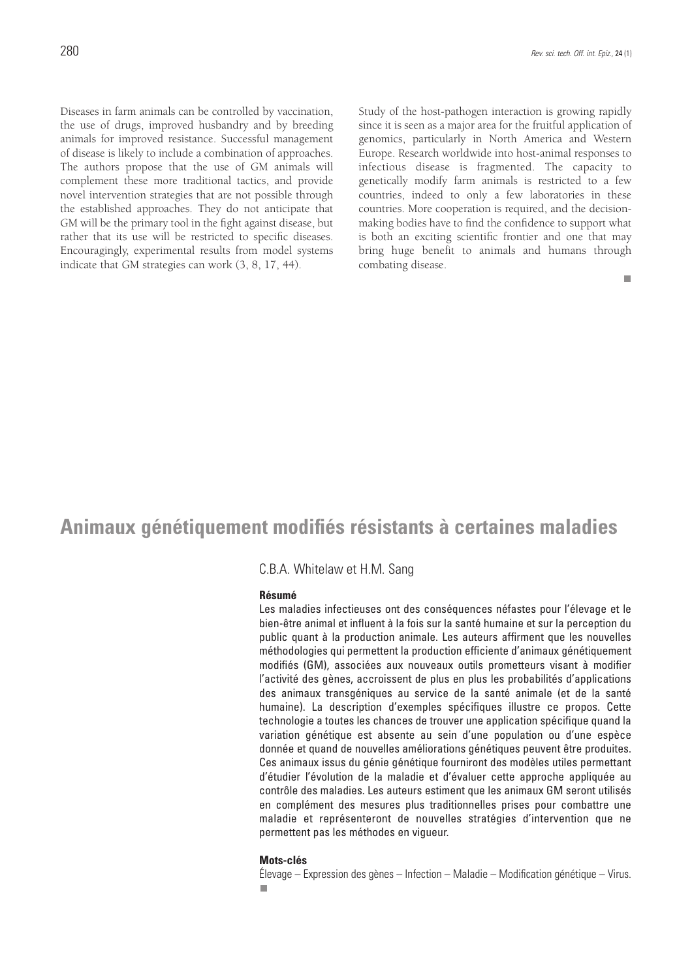Diseases in farm animals can be controlled by vaccination, the use of drugs, improved husbandry and by breeding animals for improved resistance. Successful management of disease is likely to include a combination of approaches. The authors propose that the use of GM animals will complement these more traditional tactics, and provide novel intervention strategies that are not possible through the established approaches. They do not anticipate that GM will be the primary tool in the fight against disease, but rather that its use will be restricted to specific diseases. Encouragingly, experimental results from model systems indicate that GM strategies can work (3, 8, 17, 44).

Study of the host-pathogen interaction is growing rapidly since it is seen as a major area for the fruitful application of genomics, particularly in North America and Western Europe. Research worldwide into host-animal responses to infectious disease is fragmented. The capacity to genetically modify farm animals is restricted to a few countries, indeed to only a few laboratories in these countries. More cooperation is required, and the decisionmaking bodies have to find the confidence to support what is both an exciting scientific frontier and one that may bring huge benefit to animals and humans through combating disease.

m.

## **Animaux génétiquement modifiés résistants à certaines maladies**

### C.B.A. Whitelaw et H.M. Sang

#### **Résumé**

Les maladies infectieuses ont des conséquences néfastes pour l'élevage et le bien-être animal et influent à la fois sur la santé humaine et sur la perception du public quant à la production animale. Les auteurs affirment que les nouvelles méthodologies qui permettent la production efficiente d'animaux génétiquement modifiés (GM), associées aux nouveaux outils prometteurs visant à modifier l'activité des gènes, accroissent de plus en plus les probabilités d'applications des animaux transgéniques au service de la santé animale (et de la santé humaine). La description d'exemples spécifiques illustre ce propos. Cette technologie a toutes les chances de trouver une application spécifique quand la variation génétique est absente au sein d'une population ou d'une espèce donnée et quand de nouvelles améliorations génétiques peuvent être produites. Ces animaux issus du génie génétique fourniront des modèles utiles permettant d'étudier l'évolution de la maladie et d'évaluer cette approche appliquée au contrôle des maladies. Les auteurs estiment que les animaux GM seront utilisés en complément des mesures plus traditionnelles prises pour combattre une maladie et représenteront de nouvelles stratégies d'intervention que ne permettent pas les méthodes en vigueur.

#### **Mots-clés**

Élevage – Expression des gènes – Infection – Maladie – Modification génétique – Virus.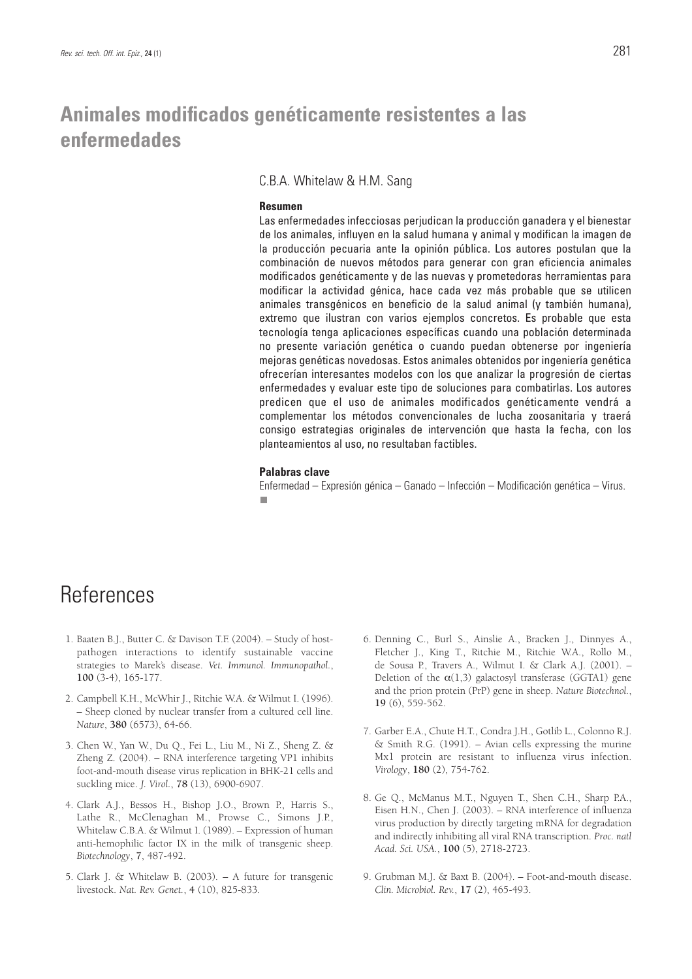## **Animales modificados genéticamente resistentes a las enfermedades**

C.B.A. Whitelaw & H.M. Sang

#### **Resumen**

Las enfermedades infecciosas perjudican la producción ganadera y el bienestar de los animales, influyen en la salud humana y animal y modifican la imagen de la producción pecuaria ante la opinión pública. Los autores postulan que la combinación de nuevos métodos para generar con gran eficiencia animales modificados genéticamente y de las nuevas y prometedoras herramientas para modificar la actividad génica, hace cada vez más probable que se utilicen animales transgénicos en beneficio de la salud animal (y también humana), extremo que ilustran con varios ejemplos concretos. Es probable que esta tecnología tenga aplicaciones específicas cuando una población determinada no presente variación genética o cuando puedan obtenerse por ingeniería mejoras genéticas novedosas. Estos animales obtenidos por ingeniería genética ofrecerían interesantes modelos con los que analizar la progresión de ciertas enfermedades y evaluar este tipo de soluciones para combatirlas. Los autores predicen que el uso de animales modificados genéticamente vendrá a complementar los métodos convencionales de lucha zoosanitaria y traerá consigo estrategias originales de intervención que hasta la fecha, con los planteamientos al uso, no resultaban factibles.

#### **Palabras clave**

Enfermedad – Expresión génica – Ganado – Infección – Modificación genética – Virus. п

# **References**

- 1. Baaten B.J., Butter C. & Davison T.F. (2004). Study of hostpathogen interactions to identify sustainable vaccine strategies to Marek's disease. *Vet. Immunol. Immunopathol.*, **100** (3-4), 165-177.
- 2. Campbell K.H., McWhir J., Ritchie W.A. & Wilmut I. (1996). – Sheep cloned by nuclear transfer from a cultured cell line. *Nature*, **380** (6573), 64-66.
- 3. Chen W., Yan W., Du Q., Fei L., Liu M., Ni Z., Sheng Z. & Zheng Z. (2004). – RNA interference targeting VP1 inhibits foot-and-mouth disease virus replication in BHK-21 cells and suckling mice. *J. Virol.*, **78** (13), 6900-6907.
- 4. Clark A.J., Bessos H., Bishop J.O., Brown P., Harris S., Lathe R., McClenaghan M., Prowse C., Simons J.P., Whitelaw C.B.A. & Wilmut I. (1989). – Expression of human anti-hemophilic factor IX in the milk of transgenic sheep. *Biotechnology*, **7**, 487-492.
- 5. Clark J. & Whitelaw B. (2003). A future for transgenic livestock. *Nat. Rev. Genet.*, **4** (10), 825-833.
- 6. Denning C., Burl S., Ainslie A., Bracken J., Dinnyes A., Fletcher J., King T., Ritchie M., Ritchie W.A., Rollo M., de Sousa P., Travers A., Wilmut I. & Clark A.J. (2001). – Deletion of the  $\alpha(1,3)$  galactosyl transferase (GGTA1) gene and the prion protein (PrP) gene in sheep. *Nature Biotechnol.*, **19** (6), 559-562.
- 7. Garber E.A., Chute H.T., Condra J.H., Gotlib L., Colonno R.J. & Smith R.G. (1991). – Avian cells expressing the murine Mx1 protein are resistant to influenza virus infection. *Virology*, **180** (2), 754-762.
- 8. Ge Q., McManus M.T., Nguyen T., Shen C.H., Sharp P.A., Eisen H.N., Chen J. (2003). – RNA interference of influenza virus production by directly targeting mRNA for degradation and indirectly inhibiting all viral RNA transcription. *Proc. natl Acad. Sci. USA.*, **100** (5), 2718-2723.
- 9. Grubman M.J. & Baxt B. (2004). Foot-and-mouth disease. *Clin. Microbiol. Rev.*, **17** (2), 465-493.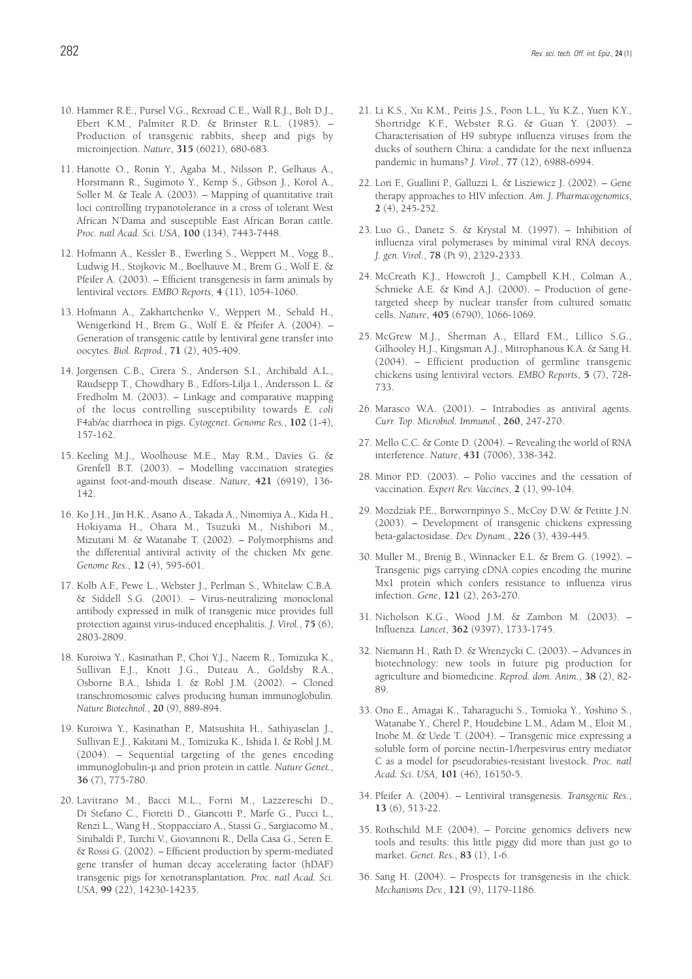- 10. Hammer R.E., Pursel V.G., Rexroad C.E., Wall R.J., Bolt D.J., Ebert K.M., Palmiter R.D. & Brinster R.L. (1985). – Production of transgenic rabbits, sheep and pigs by microinjection. *Nature*, **315** (6021), 680-683.
- 11. Hanotte O., Ronin Y., Agaba M., Nilsson P., Gelhaus A., Horstmann R., Sugimoto Y., Kemp S., Gibson J., Korol A., Soller M. & Teale A. (2003). – Mapping of quantitative trait loci controlling trypanotolerance in a cross of tolerant West African N'Dama and susceptible East African Boran cattle. *Proc. natl Acad. Sci. USA*, **100** (134), 7443-7448.
- 12. Hofmann A., Kessler B., Ewerling S., Weppert M., Vogg B., Ludwig H., Stojkovic M., Boelhauve M., Brem G., Wolf E. & Pfeifer A. (2003). – Efficient transgenesis in farm animals by lentiviral vectors. *EMBO Reports*, **4** (11), 1054-1060.
- 13. Hofmann A., Zakhartchenko V., Weppert M., Sebald H., Wenigerkind H., Brem G., Wolf E. & Pfeifer A. (2004). – Generation of transgenic cattle by lentiviral gene transfer into oocytes. *Biol. Reprod.*, **71** (2), 405-409.
- 14. Jorgensen C.B., Cirera S., Anderson S.I., Archibald A.L., Raudsepp T., Chowdhary B., Edfors-Lilja I., Andersson L. & Fredholm M. (2003). – Linkage and comparative mapping of the locus controlling susceptibility towards *E. coli* F4ab/ac diarrhoea in pigs. *Cytogenet*. *Genome Res.*, **102** (1-4), 157-162.
- 15. Keeling M.J., Woolhouse M.E., May R.M., Davies G. & Grenfell B.T. (2003). – Modelling vaccination strategies against foot-and-mouth disease. *Nature*, **421** (6919), 136- 142.
- 16. Ko J.H., Jin H.K., Asano A., Takada A., Ninomiya A., Kida H., Hokiyama H., Ohara M., Tsuzuki M., Nishibori M., Mizutani M. & Watanabe T. (2002). – Polymorphisms and the differential antiviral activity of the chicken *Mx* gene. *Genome Res.*, **12** (4), 595-601.
- 17. Kolb A.F., Pewe L., Webster J., Perlman S., Whitelaw C.B.A. & Siddell S.G. (2001). – Virus-neutralizing monoclonal antibody expressed in milk of transgenic mice provides full protection against virus-induced encephalitis. *J. Virol.*, **75** (6), 2803-2809.
- 18. Kuroiwa Y., Kasinathan P., Choi Y.J., Naeem R., Tomizuka K., Sullivan E.J., Knott J.G., Duteau A., Goldsby R.A., Osborne B.A., Ishida I. & Robl J.M. (2002). – Cloned transchromosomic calves producing human immunoglobulin. *Nature Biotechnol.*, **20** (9), 889-894.
- 19. Kuroiwa Y., Kasinathan P., Matsushita H., Sathiyaselan J., Sullivan E.J., Kakitani M., Tomizuka K., Ishida I. & Robl J.M. (2004). – Sequential targeting of the genes encoding immunoglobulin-µ and prion protein in cattle. *Nature Genet.*, **36** (7), 775-780.
- 20. Lavitrano M., Bacci M.L., Forni M., Lazzereschi D., Di Stefano C., Fioretti D., Giancotti P., Marfe G., Pucci L., Renzi L., Wang H., Stoppacciaro A., Stassi G., Sargiacomo M., Sinibaldi P., Turchi V., Giovannoni R., Della Casa G., Seren E. & Rossi G. (2002). – Efficient production by sperm-mediated gene transfer of human decay accelerating factor (hDAF) transgenic pigs for xenotransplantation. *Proc. natl Acad. Sci. USA*, **99** (22), 14230-14235.
- 21. Li K.S., Xu K.M., Peiris J.S., Poon L.L., Yu K.Z., Yuen K.Y., Shortridge K.F., Webster R.G. & Guan Y. (2003). – Characterisation of H9 subtype influenza viruses from the ducks of southern China: a candidate for the next influenza pandemic in humans? *J. Virol.*, **77** (12), 6988-6994.
- 22. Lori F., Guallini P., Galluzzi L. & Lisziewicz J. (2002). Gene therapy approaches to HIV infection. *Am. J. Pharmacogenomics*, **2** (4), 245-252.
- 23. Luo G., Danetz S. & Krystal M. (1997). Inhibition of influenza viral polymerases by minimal viral RNA decoys. *J. gen. Virol.*, **78** (Pt 9), 2329-2333.
- 24. McCreath K.J., Howcroft J., Campbell K.H., Colman A., Schnieke A.E. & Kind A.J. (2000). – Production of genetargeted sheep by nuclear transfer from cultured somatic cells. *Nature*, **405** (6790), 1066-1069.
- 25. McGrew M.J., Sherman A., Ellard F.M., Lillico S.G., Gilhooley H.J., Kingsman A.J., Mitrophanous K.A. & Sang H. (2004). – Efficient production of germline transgenic chickens using lentiviral vectors. *EMBO Reports*, **5** (7), 728- 733.
- 26. Marasco W.A. (2001). Intrabodies as antiviral agents. *Curr. Top. Microbiol. Immunol.*, **260**, 247-270.
- 27. Mello C.C. & Conte D. (2004). Revealing the world of RNA interference. *Nature*, **431** (7006), 338-342.
- 28. Minor P.D. (2003). Polio vaccines and the cessation of vaccination. *Expert Rev. Vaccines*, **2** (1), 99-104.
- 29. Mozdziak P.E., Borwornpinyo S., McCoy D.W. & Petitte J.N. (2003). – Development of transgenic chickens expressing beta-galactosidase. *Dev. Dynam.*, **226** (3), 439-445.
- 30. Muller M., Brenig B., Winnacker E.L. & Brem G. (1992). Transgenic pigs carrying cDNA copies encoding the murine Mx1 protein which confers resistance to influenza virus infection. *Gene*, **121** (2), 263-270.
- 31. Nicholson K.G., Wood J.M. & Zambon M. (2003). Influenza. *Lancet*, **362** (9397), 1733-1745.
- 32. Niemann H., Rath D. & Wrenzycki C. (2003). Advances in biotechnology: new tools in future pig production for agriculture and biomedicine. *Reprod. dom. Anim.*, **38** (2), 82- 89.
- 33. Ono E., Amagai K., Taharaguchi S., Tomioka Y., Yoshino S., Watanabe Y., Cherel P., Houdebine L.M., Adam M., Eloit M., Inobe M. & Uede T. (2004). – Transgenic mice expressing a soluble form of porcine nectin-1/herpesvirus entry mediator C as a model for pseudorabies-resistant livestock. *Proc. natl Acad. Sci. USA*, **101** (46), 16150-5.
- 34. Pfeifer A. (2004). Lentiviral transgenesis. *Transgenic Res.*, **13** (6), 513-22.
- 35. Rothschild M.F. (2004). Porcine genomics delivers new tools and results: this little piggy did more than just go to market. *Genet. Res.*, **83** (1), 1-6.
- 36. Sang H. (2004). Prospects for transgenesis in the chick. *Mechanisms Dev.*, **121** (9), 1179-1186.